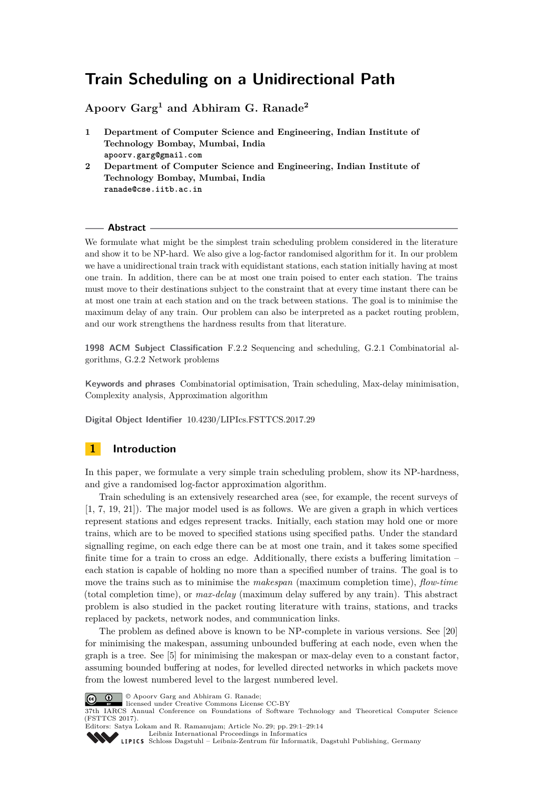# **Train Scheduling on a Unidirectional Path**

**Apoorv Garg<sup>1</sup> and Abhiram G. Ranade<sup>2</sup>**

- **1 Department of Computer Science and Engineering, Indian Institute of Technology Bombay, Mumbai, India apoorv.garg@gmail.com**
- **2 Department of Computer Science and Engineering, Indian Institute of Technology Bombay, Mumbai, India ranade@cse.iitb.ac.in**

#### **Abstract**

We formulate what might be the simplest train scheduling problem considered in the literature and show it to be NP-hard. We also give a log-factor randomised algorithm for it. In our problem we have a unidirectional train track with equidistant stations, each station initially having at most one train. In addition, there can be at most one train poised to enter each station. The trains must move to their destinations subject to the constraint that at every time instant there can be at most one train at each station and on the track between stations. The goal is to minimise the maximum delay of any train. Our problem can also be interpreted as a packet routing problem, and our work strengthens the hardness results from that literature.

**1998 ACM Subject Classification** F.2.2 Sequencing and scheduling, G.2.1 Combinatorial algorithms, G.2.2 Network problems

**Keywords and phrases** Combinatorial optimisation, Train scheduling, Max-delay minimisation, Complexity analysis, Approximation algorithm

**Digital Object Identifier** [10.4230/LIPIcs.FSTTCS.2017.29](http://dx.doi.org/10.4230/LIPIcs.FSTTCS.2017.29)

## **1 Introduction**

In this paper, we formulate a very simple train scheduling problem, show its NP-hardness, and give a randomised log-factor approximation algorithm.

Train scheduling is an extensively researched area (see, for example, the recent surveys of [\[1,](#page-12-0) [7,](#page-12-1) [19,](#page-13-0) [21\]](#page-13-1)). The major model used is as follows. We are given a graph in which vertices represent stations and edges represent tracks. Initially, each station may hold one or more trains, which are to be moved to specified stations using specified paths. Under the standard signalling regime, on each edge there can be at most one train, and it takes some specified finite time for a train to cross an edge. Additionally, there exists a buffering limitation – each station is capable of holding no more than a specified number of trains. The goal is to move the trains such as to minimise the *makespan* (maximum completion time), *flow-time* (total completion time), or *max-delay* (maximum delay suffered by any train). This abstract problem is also studied in the packet routing literature with trains, stations, and tracks replaced by packets, network nodes, and communication links.

The problem as defined above is known to be NP-complete in various versions. See [\[20\]](#page-13-2) for minimising the makespan, assuming unbounded buffering at each node, even when the graph is a tree. See [\[5\]](#page-12-2) for minimising the makespan or max-delay even to a constant factor, assuming bounded buffering at nodes, for levelled directed networks in which packets move from the lowest numbered level to the largest numbered level.



© Apoorv Garg and Abhiram G. Ranade;

licensed under Creative Commons License CC-BY

37th IARCS Annual Conference on Foundations of Software Technology and Theoretical Computer Science (FSTTCS 2017).

Editors: Satya Lokam and R. Ramanujam; Article No. 29; pp. 29:1–29[:14](#page-13-3) [Leibniz International Proceedings in Informatics](http://www.dagstuhl.de/lipics/)



[Schloss Dagstuhl – Leibniz-Zentrum für Informatik, Dagstuhl Publishing, Germany](http://www.dagstuhl.de)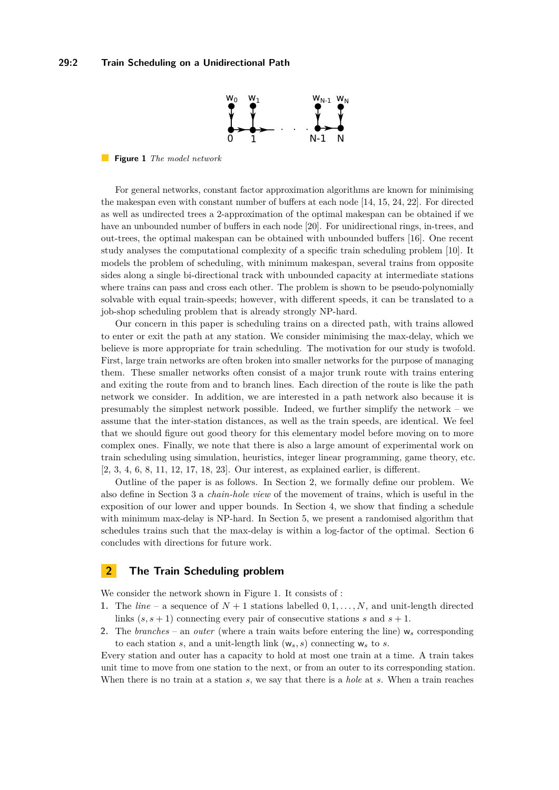### <span id="page-1-1"></span>**29:2 Train Scheduling on a Unidirectional Path**



**Figure 1** *The model network*

For general networks, constant factor approximation algorithms are known for minimising the makespan even with constant number of buffers at each node [\[14,](#page-12-3) [15,](#page-13-4) [24,](#page-13-5) [22\]](#page-13-6). For directed as well as undirected trees a 2-approximation of the optimal makespan can be obtained if we have an unbounded number of buffers in each node [\[20\]](#page-13-2). For unidirectional rings, in-trees, and out-trees, the optimal makespan can be obtained with unbounded buffers [\[16\]](#page-13-7). One recent study analyses the computational complexity of a specific train scheduling problem [\[10\]](#page-12-4). It models the problem of scheduling, with minimum makespan, several trains from opposite sides along a single bi-directional track with unbounded capacity at intermediate stations where trains can pass and cross each other. The problem is shown to be pseudo-polynomially solvable with equal train-speeds; however, with different speeds, it can be translated to a job-shop scheduling problem that is already strongly NP-hard.

Our concern in this paper is scheduling trains on a directed path, with trains allowed to enter or exit the path at any station. We consider minimising the max-delay, which we believe is more appropriate for train scheduling. The motivation for our study is twofold. First, large train networks are often broken into smaller networks for the purpose of managing them. These smaller networks often consist of a major trunk route with trains entering and exiting the route from and to branch lines. Each direction of the route is like the path network we consider. In addition, we are interested in a path network also because it is presumably the simplest network possible. Indeed, we further simplify the network – we assume that the inter-station distances, as well as the train speeds, are identical. We feel that we should figure out good theory for this elementary model before moving on to more complex ones. Finally, we note that there is also a large amount of experimental work on train scheduling using simulation, heuristics, integer linear programming, game theory, etc. [\[2,](#page-12-5) [3,](#page-12-6) [4,](#page-12-7) [6,](#page-12-8) [8,](#page-12-9) [11,](#page-12-10) [12,](#page-12-11) [17,](#page-13-8) [18,](#page-13-9) [23\]](#page-13-10). Our interest, as explained earlier, is different.

Outline of the paper is as follows. In Section [2,](#page-1-0) we formally define our problem. We also define in Section [3](#page-2-0) a *chain-hole view* of the movement of trains, which is useful in the exposition of our lower and upper bounds. In Section [4,](#page-4-0) we show that finding a schedule with minimum max-delay is NP-hard. In Section [5,](#page-6-0) we present a randomised algorithm that schedules trains such that the max-delay is within a log-factor of the optimal. Section [6](#page-11-0) concludes with directions for future work.

### <span id="page-1-0"></span>**2 The Train Scheduling problem**

We consider the network shown in Figure [1.](#page-1-1) It consists of :

- **1.** The *line* a sequence of  $N + 1$  stations labelled  $0, 1, \ldots, N$ , and unit-length directed links  $(s, s + 1)$  connecting every pair of consecutive stations *s* and  $s + 1$ .
- 2. The *branches* an *outer* (where a train waits before entering the line)  $w_s$  corresponding to each station *s*, and a unit-length link  $(w_s, s)$  connecting  $w_s$  to *s*.

Every station and outer has a capacity to hold at most one train at a time. A train takes unit time to move from one station to the next, or from an outer to its corresponding station. When there is no train at a station *s*, we say that there is a *hole* at *s*. When a train reaches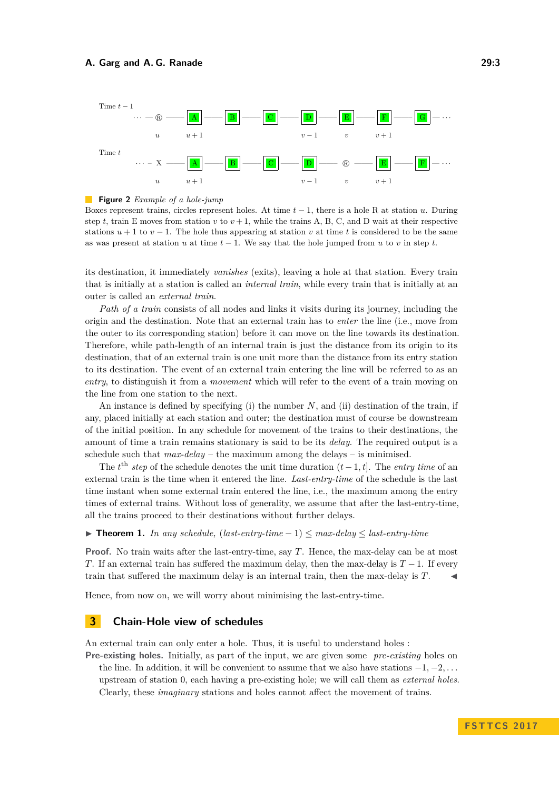

#### $\blacksquare$ **Figure 2** *Example of a hole-jump*

Boxes represent trains, circles represent holes. At time *t* − 1, there is a hole R at station *u*. During step *t*, train E moves from station  $v$  to  $v + 1$ , while the trains A, B, C, and D wait at their respective stations  $u + 1$  to  $v - 1$ . The hole thus appearing at station v at time t is considered to be the same as was present at station *u* at time  $t-1$ . We say that the hole jumped from *u* to *v* in step *t*.

its destination, it immediately *vanishes* (exits), leaving a hole at that station. Every train that is initially at a station is called an *internal train*, while every train that is initially at an outer is called an *external train*.

*Path of a train* consists of all nodes and links it visits during its journey, including the origin and the destination. Note that an external train has to *enter* the line (i.e., move from the outer to its corresponding station) before it can move on the line towards its destination. Therefore, while path-length of an internal train is just the distance from its origin to its destination, that of an external train is one unit more than the distance from its entry station to its destination. The event of an external train entering the line will be referred to as an *entry*, to distinguish it from a *movement* which will refer to the event of a train moving on the line from one station to the next.

An instance is defined by specifying (i) the number *N*, and (ii) destination of the train, if any, placed initially at each station and outer; the destination must of course be downstream of the initial position. In any schedule for movement of the trains to their destinations, the amount of time a train remains stationary is said to be its *delay*. The required output is a schedule such that *max-delay* – the maximum among the delays – is minimised.

The  $t^{\text{th}}$  *step* of the schedule denotes the unit time duration  $(t-1, t]$ . The *entry time* of an external train is the time when it entered the line. *Last-entry-time* of the schedule is the last time instant when some external train entered the line, i.e., the maximum among the entry times of external trains. Without loss of generality, we assume that after the last-entry-time, all the trains proceed to their destinations without further delays.

#### <span id="page-2-1"></span>**► Theorem 1.** In any schedule,  $(last-entry-time-1) \leq max-delay \leq last-entry-time$

**Proof.** No train waits after the last-entry-time, say *T*. Hence, the max-delay can be at most *T*. If an external train has suffered the maximum delay, then the max-delay is  $T-1$ . If every train that suffered the maximum delay is an internal train, then the max-delay is *T*. J

Hence, from now on, we will worry about minimising the last-entry-time.

### <span id="page-2-0"></span>**3 Chain-Hole view of schedules**

An external train can only enter a hole. Thus, it is useful to understand holes :

**Pre-existing holes.** Initially, as part of the input, we are given some *pre-existing* holes on the line. In addition, it will be convenient to assume that we also have stations −1*,* −2*, . . .* upstream of station 0, each having a pre-existing hole; we will call them as *external holes*. Clearly, these *imaginary* stations and holes cannot affect the movement of trains.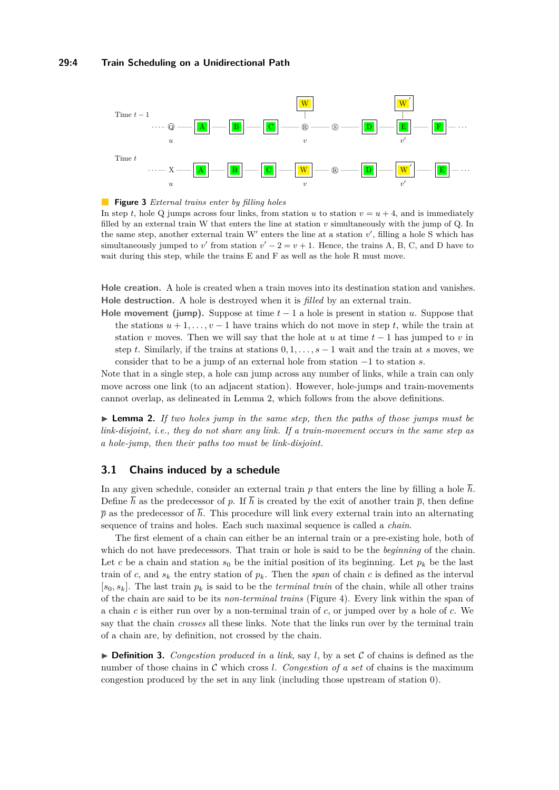### **29:4 Train Scheduling on a Unidirectional Path**



**Figure 3** *External trains enter by filling holes*

In step *t*, hole Q jumps across four links, from station *u* to station  $v = u + 4$ , and is immediately filled by an external train W that enters the line at station *v* simultaneously with the jump of Q. In the same step, another external train  $W'$  enters the line at a station  $v'$ , filling a hole S which has simultaneously jumped to *v*<sup>'</sup> from station  $v' - 2 = v + 1$ . Hence, the trains A, B, C, and D have to wait during this step, while the trains E and F as well as the hole R must move.

**Hole creation.** A hole is created when a train moves into its destination station and vanishes. **Hole destruction.** A hole is destroyed when it is *filled* by an external train.

**Hole movement (jump).** Suppose at time  $t-1$  a hole is present in station *u*. Suppose that the stations  $u + 1, \ldots, v - 1$  have trains which do not move in step *t*, while the train at station *v* moves. Then we will say that the hole at *u* at time  $t-1$  has jumped to *v* in step *t*. Similarly, if the trains at stations  $0, 1, \ldots, s-1$  wait and the train at *s* moves, we consider that to be a jump of an external hole from station −1 to station *s*.

Note that in a single step, a hole can jump across any number of links, while a train can only move across one link (to an adjacent station). However, hole-jumps and train-movements cannot overlap, as delineated in Lemma [2,](#page-3-0) which follows from the above definitions.

<span id="page-3-0"></span>► **Lemma 2.** *If two holes jump in the same step, then the paths of those jumps must be link-disjoint, i.e., they do not share any link. If a train-movement occurs in the same step as a hole-jump, then their paths too must be link-disjoint.*

### **3.1 Chains induced by a schedule**

In any given schedule, consider an external train p that enters the line by filling a hole  $\bar{h}$ . Define  $\overline{h}$  as the predecessor of p. If  $\overline{h}$  is created by the exit of another train  $\overline{p}$ , then define  $\bar{p}$  as the predecessor of  $\bar{h}$ . This procedure will link every external train into an alternating sequence of trains and holes. Each such maximal sequence is called a *chain*.

The first element of a chain can either be an internal train or a pre-existing hole, both of which do not have predecessors. That train or hole is said to be the *beginning* of the chain. Let *c* be a chain and station  $s_0$  be the initial position of its beginning. Let  $p_k$  be the last train of *c*, and  $s_k$  the entry station of  $p_k$ . Then the *span* of chain *c* is defined as the interval  $[s_0, s_k]$ . The last train  $p_k$  is said to be the *terminal train* of the chain, while all other trains of the chain are said to be its *non-terminal trains* (Figure [4\)](#page-4-1). Every link within the span of a chain *c* is either run over by a non-terminal train of *c*, or jumped over by a hole of *c*. We say that the chain *crosses* all these links. Note that the links run over by the terminal train of a chain are, by definition, not crossed by the chain.

 $\triangleright$  **Definition 3.** *Congestion produced in a link*, say *l*, by a set C of chains is defined as the number of those chains in C which cross *l*. *Congestion of a set* of chains is the maximum congestion produced by the set in any link (including those upstream of station 0).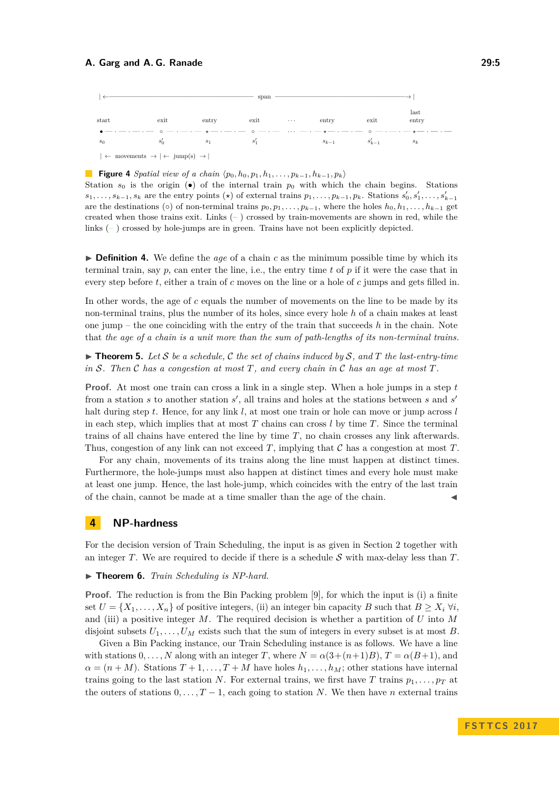<span id="page-4-1"></span>

|                                                                                                                                                                                                                                                                                                                                 |       |                | span   |  |                |           |               |
|---------------------------------------------------------------------------------------------------------------------------------------------------------------------------------------------------------------------------------------------------------------------------------------------------------------------------------|-------|----------------|--------|--|----------------|-----------|---------------|
| start                                                                                                                                                                                                                                                                                                                           | exit  | $_{\rm entry}$ | $ext$  |  | $_{\rm entry}$ | exit      | last<br>entry |
| $\bullet$ - $\cdot$ - $\cdot$ - $\cdot$ - $\circ$ - $\cdot$ - $\cdot$ $\cdot$ - $\cdot$ - $\cdot$ - $\circ$ - $\cdot$ - $\cdot$ - $\cdot$ - $\cdot$ - $\cdot$ - $\cdot$ - $\cdot$ - $\cdot$ - $\cdot$ - $\cdot$ - $\cdot$ - $\cdot$ - $\cdot$ - $\cdot$ - $\cdot$ - $\cdot$ - $\cdot$ - $\cdot$ - $\cdot$ - $\cdot$ - $\cdot$ - |       |                |        |  |                |           |               |
| $s_0$                                                                                                                                                                                                                                                                                                                           | $s_0$ | $s_1$          | $s'_1$ |  | $s_{k-1}$      | $s_{k-1}$ | $s_k$         |
| $\vert \leftarrow$ movements $\rightarrow \vert \leftarrow \text{jump(s)} \rightarrow \vert$                                                                                                                                                                                                                                    |       |                |        |  |                |           |               |

#### **Figure 4** *Spatial view of a chain*  $\langle p_0, h_0, p_1, h_1, \ldots, p_{k-1}, h_{k-1}, p_k \rangle$

Station  $s_0$  is the origin ( $\bullet$ ) of the internal train  $p_0$  with which the chain begins. Stations  $s_1,\ldots,s_{k-1},s_k$  are the entry points  $(\star)$  of external trains  $p_1,\ldots,p_{k-1},p_k$ . Stations  $s'_0,s'_1,\ldots,s'_{k-1}$ are the destinations  $(\circ)$  of non-terminal trains  $p_0, p_1, \ldots, p_{k-1}$ , where the holes  $h_0, h_1, \ldots, h_{k-1}$  get created when those trains exit. Links  $(-)$  crossed by train-movements are shown in red, while the links  $(-)$  crossed by hole-jumps are in green. Trains have not been explicitly depicted.

 $\triangleright$  **Definition 4.** We define the *age* of a chain *c* as the minimum possible time by which its terminal train, say *p*, can enter the line, i.e., the entry time *t* of *p* if it were the case that in every step before *t*, either a train of *c* moves on the line or a hole of *c* jumps and gets filled in.

In other words, the age of *c* equals the number of movements on the line to be made by its non-terminal trains, plus the number of its holes, since every hole *h* of a chain makes at least one jump – the one coinciding with the entry of the train that succeeds *h* in the chain. Note that *the age of a chain is a unit more than the sum of path-lengths of its non-terminal trains.*

<span id="page-4-2"></span> $\triangleright$  **Theorem 5.** Let S be a schedule, C the set of chains induced by S, and T the last-entry-time *in* S*. Then* C *has a congestion at most T, and every chain in* C *has an age at most T.*

**Proof.** At most one train can cross a link in a single step. When a hole jumps in a step *t* from a station  $s$  to another station  $s'$ , all trains and holes at the stations between  $s$  and  $s'$ halt during step *t*. Hence, for any link *l*, at most one train or hole can move or jump across *l* in each step, which implies that at most *T* chains can cross *l* by time *T*. Since the terminal trains of all chains have entered the line by time *T*, no chain crosses any link afterwards. Thus, congestion of any link can not exceed *T*, implying that C has a congestion at most *T*.

For any chain, movements of its trains along the line must happen at distinct times. Furthermore, the hole-jumps must also happen at distinct times and every hole must make at least one jump. Hence, the last hole-jump, which coincides with the entry of the last train of the chain, cannot be made at a time smaller than the age of the chain.

### <span id="page-4-0"></span>**4 NP-hardness**

For the decision version of Train Scheduling, the input is as given in Section [2](#page-1-0) together with an integer *T*. We are required to decide if there is a schedule  $S$  with max-delay less than *T*.

#### ▶ **Theorem 6.** *Train Scheduling is NP-hard.*

**Proof.** The reduction is from the Bin Packing problem [\[9\]](#page-12-12), for which the input is (i) a finite set  $U = \{X_1, \ldots, X_n\}$  of positive integers, (ii) an integer bin capacity *B* such that  $B \ge X_i$   $\forall i$ , and (iii) a positive integer *M*. The required decision is whether a partition of *U* into *M* disjoint subsets  $U_1, \ldots, U_M$  exists such that the sum of integers in every subset is at most *B*.

Given a Bin Packing instance, our Train Scheduling instance is as follows. We have a line with stations  $0, \ldots, N$  along with an integer *T*, where  $N = \alpha(3+(n+1)B)$ ,  $T = \alpha(B+1)$ , and  $\alpha = (n + M)$ . Stations  $T + 1, \ldots, T + M$  have holes  $h_1, \ldots, h_M$ ; other stations have internal trains going to the last station *N*. For external trains, we first have *T* trains  $p_1, \ldots, p_T$  at the outers of stations  $0, \ldots, T-1$ , each going to station *N*. We then have *n* external trains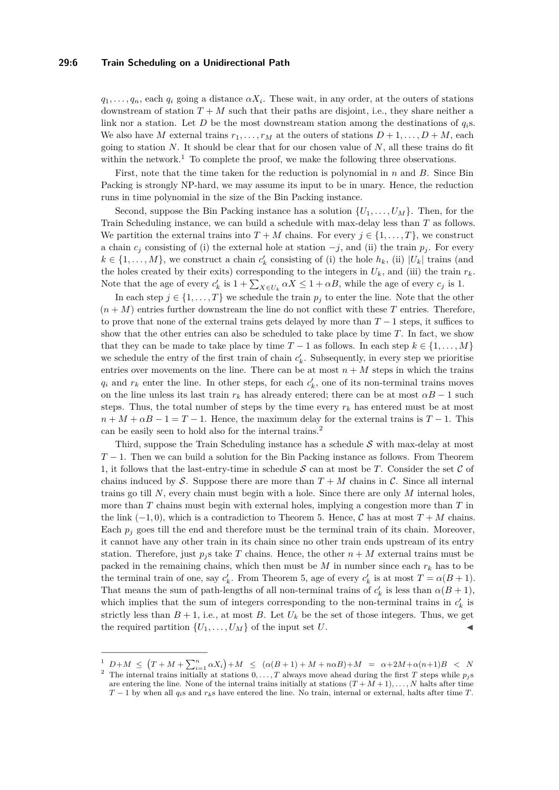#### **29:6 Train Scheduling on a Unidirectional Path**

 $q_1, \ldots, q_n$ , each  $q_i$  going a distance  $\alpha X_i$ . These wait, in any order, at the outers of stations downstream of station  $T + M$  such that their paths are disjoint, i.e., they share neither a link nor a station. Let *D* be the most downstream station among the destinations of *qi*s. We also have *M* external trains  $r_1, \ldots, r_M$  at the outers of stations  $D + 1, \ldots, D + M$ , each going to station *N*. It should be clear that for our chosen value of *N*, all these trains do fit within the network.<sup>[1](#page-5-0)</sup> To complete the proof, we make the following three observations.

First, note that the time taken for the reduction is polynomial in *n* and *B*. Since Bin Packing is strongly NP-hard, we may assume its input to be in unary. Hence, the reduction runs in time polynomial in the size of the Bin Packing instance.

Second, suppose the Bin Packing instance has a solution  $\{U_1, \ldots, U_M\}$ . Then, for the Train Scheduling instance, we can build a schedule with max-delay less than *T* as follows. We partition the external trains into  $T + M$  chains. For every  $j \in \{1, ..., T\}$ , we construct a chain  $c_j$  consisting of (i) the external hole at station  $-j$ , and (ii) the train  $p_j$ . For every  $k \in \{1, \ldots, M\}$ , we construct a chain  $c'_{k}$  consisting of (i) the hole  $h_{k}$ , (ii)  $|U_{k}|$  trains (and the holes created by their exits) corresponding to the integers in  $U_k$ , and (iii) the train  $r_k$ . Note that the age of every  $c'_k$  is  $1 + \sum_{X \in U_k} \alpha X \leq 1 + \alpha B$ , while the age of every  $c_j$  is 1.

In each step  $j \in \{1, \ldots, T\}$  we schedule the train  $p_j$  to enter the line. Note that the other  $(n+M)$  entries further downstream the line do not conflict with these T entries. Therefore, to prove that none of the external trains gets delayed by more than *T* − 1 steps, it suffices to show that the other entries can also be scheduled to take place by time *T*. In fact, we show that they can be made to take place by time  $T-1$  as follows. In each step  $k \in \{1, \ldots, M\}$ we schedule the entry of the first train of chain  $c'_{k}$ . Subsequently, in every step we prioritise entries over movements on the line. There can be at most  $n + M$  steps in which the trains  $q_i$  and  $r_k$  enter the line. In other steps, for each  $c'_k$ , one of its non-terminal trains moves on the line unless its last train  $r_k$  has already entered; there can be at most  $\alpha B - 1$  such steps. Thus, the total number of steps by the time every  $r_k$  has entered must be at most  $n + M + \alpha B - 1 = T - 1$ . Hence, the maximum delay for the external trains is  $T - 1$ . This can be easily seen to hold also for the internal trains.[2](#page-5-1)

Third, suppose the Train Scheduling instance has a schedule  $S$  with max-delay at most *T* − 1. Then we can build a solution for the Bin Packing instance as follows. From Theorem [1,](#page-2-1) it follows that the last-entry-time in schedule  $S$  can at most be *T*. Consider the set  $C$  of chains induced by S. Suppose there are more than  $T + M$  chains in C. Since all internal trains go till *N*, every chain must begin with a hole. Since there are only *M* internal holes, more than *T* chains must begin with external holes, implying a congestion more than *T* in the link  $(-1, 0)$ , which is a contradiction to Theorem [5.](#page-4-2) Hence,  $\mathcal{C}$  has at most  $T + M$  chains. Each  $p_j$  goes till the end and therefore must be the terminal train of its chain. Moreover, it cannot have any other train in its chain since no other train ends upstream of its entry station. Therefore, just  $p_j$  s take T chains. Hence, the other  $n + M$  external trains must be packed in the remaining chains, which then must be  $M$  in number since each  $r_k$  has to be the terminal train of one, say  $c'_{k}$ . From Theorem [5,](#page-4-2) age of every  $c'_{k}$  is at most  $T = \alpha(B + 1)$ . That means the sum of path-lengths of all non-terminal trains of  $c'_{k}$  is less than  $\alpha(B+1)$ , which implies that the sum of integers corresponding to the non-terminal trains in  $c'_{k}$  is strictly less than  $B + 1$ , i.e., at most *B*. Let  $U_k$  be the set of those integers. Thus, we get the required partition  $\{U_1, \ldots, U_M\}$  of the input set *U*.

<span id="page-5-1"></span><span id="page-5-0"></span> $\frac{1}{2}$   $D+M \leq (T+M+\sum_{i=1}^{n} \alpha X_i)+M \leq (\alpha(B+1)+M+n\alpha B)+M = \alpha+2M+\alpha(n+1)B$  < N <sup>2</sup> The internal trains initially at stations  $0, \ldots, T$  always move ahead during the first *T* steps while  $p_j$ s are entering the line. None of the internal trains initially at stations  $(T + M + 1), \ldots, N$  halts after time  $T-1$  by when all  $q_i$ s and  $r_k$ s have entered the line. No train, internal or external, halts after time *T*.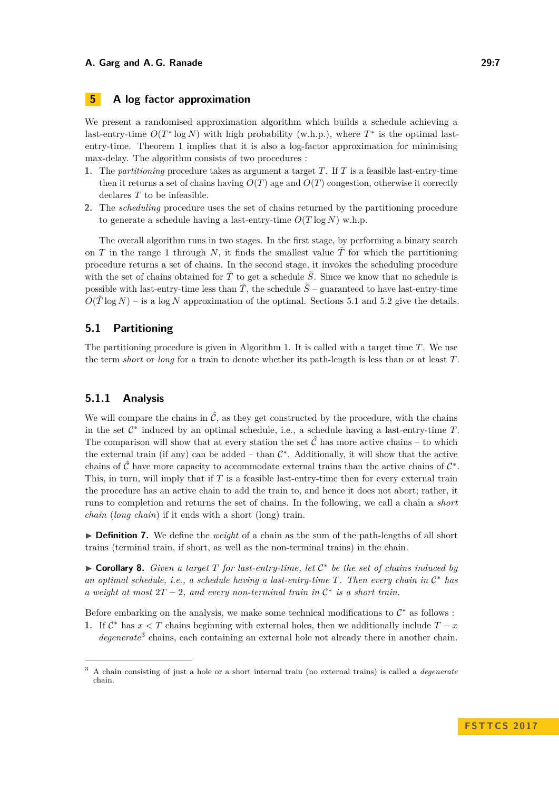### <span id="page-6-0"></span>**5 A log factor approximation**

We present a randomised approximation algorithm which builds a schedule achieving a last-entry-time  $O(T^* \log N)$  with high probability (w.h.p.), where  $T^*$  is the optimal lastentry-time. Theorem [1](#page-2-1) implies that it is also a log-factor approximation for minimising max-delay. The algorithm consists of two procedures :

- **1.** The *partitioning* procedure takes as argument a target *T*. If *T* is a feasible last-entry-time then it returns a set of chains having  $O(T)$  age and  $O(T)$  congestion, otherwise it correctly declares *T* to be infeasible.
- **2.** The *scheduling* procedure uses the set of chains returned by the partitioning procedure to generate a schedule having a last-entry-time  $O(T \log N)$  w.h.p.

The overall algorithm runs in two stages. In the first stage, by performing a binary search on *T* in the range 1 through *N*, it finds the smallest value  $\tilde{T}$  for which the partitioning procedure returns a set of chains. In the second stage, it invokes the scheduling procedure with the set of chains obtained for  $\tilde{T}$  to get a schedule  $\tilde{S}$ . Since we know that no schedule is possible with last-entry-time less than  $\tilde{T}$ , the schedule  $\tilde{S}$  – guaranteed to have last-entry-time  $O(T \log N)$  – is a log *N* approximation of the optimal. Sections [5.1](#page-6-1) and [5.2](#page-9-0) give the details.

### <span id="page-6-1"></span>**5.1 Partitioning**

The partitioning procedure is given in Algorithm [1.](#page-7-0) It is called with a target time *T*. We use the term *short* or *long* for a train to denote whether its path-length is less than or at least *T*.

### **5.1.1 Analysis**

We will compare the chains in  $\hat{\mathcal{C}}$ , as they get constructed by the procedure, with the chains in the set  $C^*$  induced by an optimal schedule, i.e., a schedule having a last-entry-time  $T$ . The comparison will show that at every station the set  $\hat{\mathcal{C}}$  has more active chains – to which the external train (if any) can be added  $-$  than  $\mathcal{C}^*$ . Additionally, it will show that the active chains of  $\hat{\mathcal{C}}$  have more capacity to accommodate external trains than the active chains of  $\mathcal{C}^*$ . This, in turn, will imply that if *T* is a feasible last-entry-time then for every external train the procedure has an active chain to add the train to, and hence it does not abort; rather, it runs to completion and returns the set of chains. In the following, we call a chain a *short chain* (*long chain*) if it ends with a short (long) train.

**Definition 7.** We define the *weight* of a chain as the sum of the path-lengths of all short trains (terminal train, if short, as well as the non-terminal trains) in the chain.

<span id="page-6-3"></span>► **Corollary 8.** *Given a target T for last-entry-time, let*  $C^*$  *be the set of chains induced by an optimal schedule, i.e., a schedule having a last-entry-time T. Then every chain in* C <sup>∗</sup> *has a* weight at most  $2T - 2$ , and every non-terminal train in  $\mathcal{C}^*$  is a short train.

Before embarking on the analysis, we make some technical modifications to  $\mathcal{C}^*$  as follows :

**1.** If  $\mathcal{C}^*$  has  $x < T$  chains beginning with external holes, then we additionally include  $T - x$ degenerate<sup>[3](#page-6-2)</sup> chains, each containing an external hole not already there in another chain.

<span id="page-6-2"></span><sup>3</sup> A chain consisting of just a hole or a short internal train (no external trains) is called a *degenerate* chain.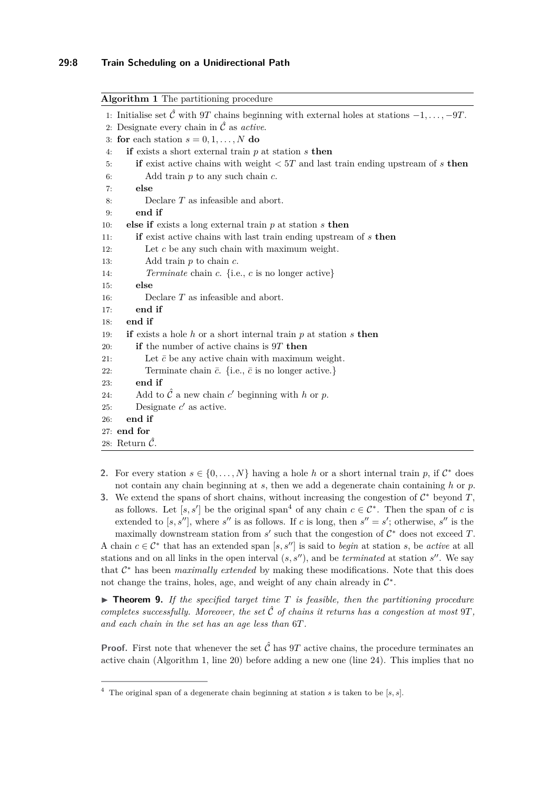#### **29:8 Train Scheduling on a Unidirectional Path**

<span id="page-7-7"></span><span id="page-7-6"></span><span id="page-7-4"></span><span id="page-7-0"></span>

| <b>Algorithm 1</b> The partitioning procedure                                                                      |  |  |  |  |  |
|--------------------------------------------------------------------------------------------------------------------|--|--|--|--|--|
| 1: Initialise set $\hat{\mathcal{C}}$ with 9T chains beginning with external holes at stations $-1, \ldots, -9T$ . |  |  |  |  |  |
| 2: Designate every chain in $\hat{\mathcal{C}}$ as <i>active</i> .                                                 |  |  |  |  |  |
| 3: for each station $s = 0, 1, , N$ do                                                                             |  |  |  |  |  |
| if exists a short external train $p$ at station $s$ then<br>4:                                                     |  |  |  |  |  |
| if exist active chains with weight $\langle 5T \rangle$ and last train ending upstream of s then<br>5:             |  |  |  |  |  |
| Add train $p$ to any such chain $c$ .<br>6:                                                                        |  |  |  |  |  |
| else<br>7:                                                                                                         |  |  |  |  |  |
| Declare $T$ as infeasible and abort.<br>8:                                                                         |  |  |  |  |  |
| end if<br>9:                                                                                                       |  |  |  |  |  |
| else if exists a long external train $p$ at station $s$ then<br>10:                                                |  |  |  |  |  |
| if exist active chains with last train ending upstream of $s$ then<br>11:                                          |  |  |  |  |  |
| Let $c$ be any such chain with maximum weight.<br>12:                                                              |  |  |  |  |  |
| Add train $p$ to chain $c$ .<br>13:                                                                                |  |  |  |  |  |
| <i>Terminate</i> chain c. {i.e., c is no longer active}<br>14:                                                     |  |  |  |  |  |
| else<br>15:                                                                                                        |  |  |  |  |  |
| Declare $T$ as infeasible and abort.<br>16:                                                                        |  |  |  |  |  |
| end if<br>17:                                                                                                      |  |  |  |  |  |
| end if<br>18:                                                                                                      |  |  |  |  |  |
| if exists a hole $h$ or a short internal train $p$ at station $s$ then<br>19:                                      |  |  |  |  |  |
| <b>if</b> the number of active chains is $9T$ then<br>20:                                                          |  |  |  |  |  |
| Let $\bar{c}$ be any active chain with maximum weight.<br>21:                                                      |  |  |  |  |  |
| Terminate chain $\bar{c}$ . {i.e., $\bar{c}$ is no longer active.}<br>22:                                          |  |  |  |  |  |
| end if<br>23:                                                                                                      |  |  |  |  |  |
| Add to $\hat{\mathcal{C}}$ a new chain c' beginning with h or p.<br>24:                                            |  |  |  |  |  |
| Designate $c'$ as active.<br>25:                                                                                   |  |  |  |  |  |
| end if<br>26:                                                                                                      |  |  |  |  |  |
| 27: end for                                                                                                        |  |  |  |  |  |
| 28: Return $\hat{\mathcal{C}}$ .                                                                                   |  |  |  |  |  |

- <span id="page-7-5"></span><span id="page-7-3"></span><span id="page-7-2"></span>**2.** For every station  $s \in \{0, \ldots, N\}$  having a hole *h* or a short internal train *p*, if  $\mathcal{C}^*$  does not contain any chain beginning at *s*, then we add a degenerate chain containing *h* or *p*.
- **3.** We extend the spans of short chains, without increasing the congestion of  $\mathcal{C}^*$  beyond  $T$ , as follows. Let  $[s, s']$  be the original span<sup>[4](#page-7-1)</sup> of any chain  $c \in \mathcal{C}^*$ . Then the span of c is extended to  $[s, s'']$ , where  $s''$  is as follows. If *c* is long, then  $s'' = s'$ ; otherwise,  $s''$  is the maximally downstream station from  $s'$  such that the congestion of  $C^*$  does not exceed  $T$ .

A chain  $c \in \mathcal{C}^*$  that has an extended span [ $s, s''$ ] is said to *begin* at station  $s$ , be *active* at all stations and on all links in the open interval  $(s, s'')$ , and be *terminated* at station  $s''$ . We say that  $C^*$  has been *maximally extended* by making these modifications. Note that this does not change the trains, holes, age, and weight of any chain already in  $\mathcal{C}^*$ .

<span id="page-7-8"></span> $\triangleright$  **Theorem 9.** If the specified target time  $T$  is feasible, then the partitioning procedure *completes successfully. Moreover, the set*  $\hat{C}$  *of chains it returns has a congestion at most*  $9T$ *, and each chain in the set has an age less than* 6*T.*

**Proof.** First note that whenever the set  $\hat{\mathcal{C}}$  has 9*T* active chains, the procedure terminates an active chain (Algorithm [1,](#page-7-0) line [20\)](#page-7-2) before adding a new one (line [24\)](#page-7-3). This implies that no

<span id="page-7-1"></span><sup>4</sup> The original span of a degenerate chain beginning at station *s* is taken to be [*s, s*].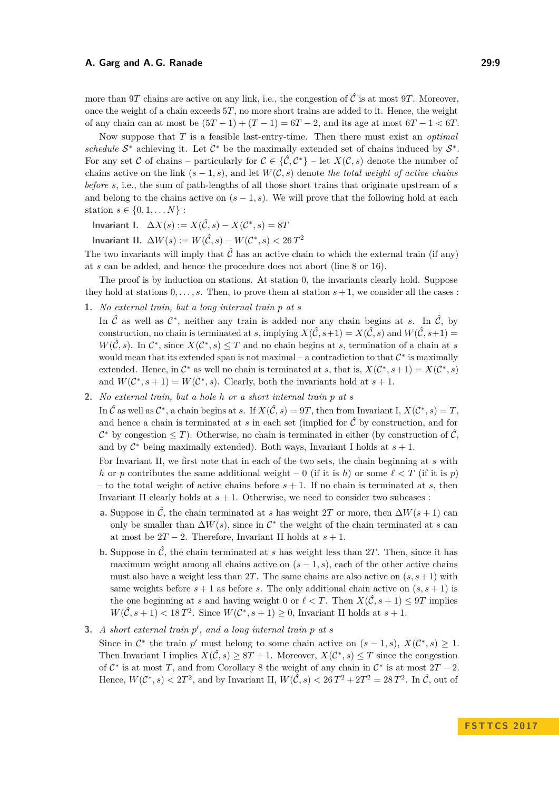more than 9*T* chains are active on any link, i.e., the congestion of  $\hat{\mathcal{C}}$  is at most 9*T*. Moreover, once the weight of a chain exceeds 5*T*, no more short trains are added to it. Hence, the weight of any chain can at most be  $(5T - 1) + (T - 1) = 6T - 2$ , and its age at most  $6T - 1 < 6T$ .

Now suppose that *T* is a feasible last-entry-time. Then there must exist an *optimal schedule*  $S^*$  achieving it. Let  $C^*$  be the maximally extended set of chains induced by  $S^*$ . For any set C of chains – particularly for  $C \in {\{\hat{\mathcal{C}}, \mathcal{C}^*\}}$  – let  $X(\mathcal{C}, s)$  denote the number of chains active on the link  $(s-1, s)$ , and let  $W(C, s)$  denote the total weight of active chains *before s*, i.e., the sum of path-lengths of all those short trains that originate upstream of *s* and belong to the chains active on  $(s - 1, s)$ . We will prove that the following hold at each station  $s \in \{0, 1, ..., N\}$ :

**Invariant I.**  $\Delta X(s) := X(\hat{C}, s) - X(C^*, s) = 8T$ 

**Invariant II.**  $\Delta W(s) := W(\hat{\mathcal{C}}, s) - W(\mathcal{C}^*, s) < 26 T^2$ 

The two invariants will imply that  $\hat{\mathcal{C}}$  has an active chain to which the external train (if any) at *s* can be added, and hence the procedure does not abort (line [8](#page-7-4) or [16\)](#page-7-5).

The proof is by induction on stations. At station 0, the invariants clearly hold. Suppose they hold at stations  $0, \ldots, s$ . Then, to prove them at station  $s+1$ , we consider all the cases :

**1.** *No external train, but a long internal train p at s*

In  $\hat{\mathcal{C}}$  as well as  $\mathcal{C}^*$ , neither any train is added nor any chain begins at *s*. In  $\hat{\mathcal{C}}$ , by construction, no chain is terminated at *s*, implying  $X(\hat{C}, s+1) = X(\hat{C}, s)$  and  $W(\hat{C}, s+1) =$  $W(\hat{C}, s)$ . In  $\mathcal{C}^*$ , since  $X(\mathcal{C}^*, s) \leq T$  and no chain begins at *s*, termination of a chain at *s* would mean that its extended span is not maximal – a contradiction to that  $\mathcal{C}^*$  is maximally extended. Hence, in  $\mathcal{C}^*$  as well no chain is terminated at *s*, that is,  $X(\mathcal{C}^*, s+1) = X(\mathcal{C}^*, s)$ and  $W(\mathcal{C}^*, s+1) = W(\mathcal{C}^*, s)$ . Clearly, both the invariants hold at  $s+1$ .

<span id="page-8-1"></span>**2.** *No external train, but a hole h or a short internal train p at s*

In  $\hat{\mathcal{C}}$  as well as  $\mathcal{C}^*$ , a chain begins at *s*. If  $X(\hat{\mathcal{C}}, s) = 9T$ , then from Invariant I,  $X(\mathcal{C}^*, s) = T$ , and hence a chain is terminated at  $s$  in each set (implied for  $\hat{\mathcal{C}}$  by construction, and for  $\mathcal{C}^*$  by congestion  $\leq T$ ). Otherwise, no chain is terminated in either (by construction of  $\hat{\mathcal{C}}$ , and by  $C^*$  being maximally extended). Both ways, Invariant I holds at  $s + 1$ .

For Invariant II, we first note that in each of the two sets, the chain beginning at *s* with *h* or *p* contributes the same additional weight – 0 (if it is *h*) or some  $\ell < T$  (if it is *p*) – to the total weight of active chains before  $s + 1$ . If no chain is terminated at  $s$ , then Invariant II clearly holds at  $s + 1$ . Otherwise, we need to consider two subcases :

- <span id="page-8-2"></span>**a.** Suppose in  $\hat{\mathcal{C}}$ , the chain terminated at *s* has weight 2*T* or more, then  $\Delta W(s + 1)$  can only be smaller than  $\Delta W(s)$ , since in  $\mathcal{C}^*$  the weight of the chain terminated at *s* can at most be  $2T - 2$ . Therefore, Invariant II holds at  $s + 1$ .
- **b.** Suppose in  $\hat{\mathcal{C}}$ , the chain terminated at *s* has weight less than 2*T*. Then, since it has maximum weight among all chains active on  $(s - 1, s)$ , each of the other active chains must also have a weight less than 2T. The same chains are also active on  $(s, s+1)$  with same weights before  $s + 1$  as before *s*. The only additional chain active on  $(s, s + 1)$  is the one beginning at *s* and having weight 0 or  $\ell < T$ . Then  $X(\hat{C}, s + 1) < 9T$  implies  $W(\hat{C}, s + 1) < 18T^2$ . Since  $W(C^*, s + 1) \geq 0$ , Invariant II holds at  $s + 1$ .

### <span id="page-8-0"></span>**3.** *A short external train*  $p'$ , and a long internal train  $p$  at  $s$

Since in  $\mathcal{C}^*$  the train  $p'$  must belong to some chain active on  $(s-1,s)$ ,  $X(\mathcal{C}^*,s) \geq 1$ . Then Invariant I implies  $X(\hat{C}, s) \geq 8T + 1$ . Moreover,  $X(C^*, s) \leq T$  since the congestion of  $C^*$  is at most *T*, and from Corollary [8](#page-6-3) the weight of any chain in  $C^*$  is at most  $2T - 2$ . Hence,  $W(\mathcal{C}^*, s) < 2T^2$ , and by Invariant II,  $W(\hat{\mathcal{C}}, s) < 26T^2 + 2T^2 = 28T^2$ . In  $\hat{\mathcal{C}}$ , out of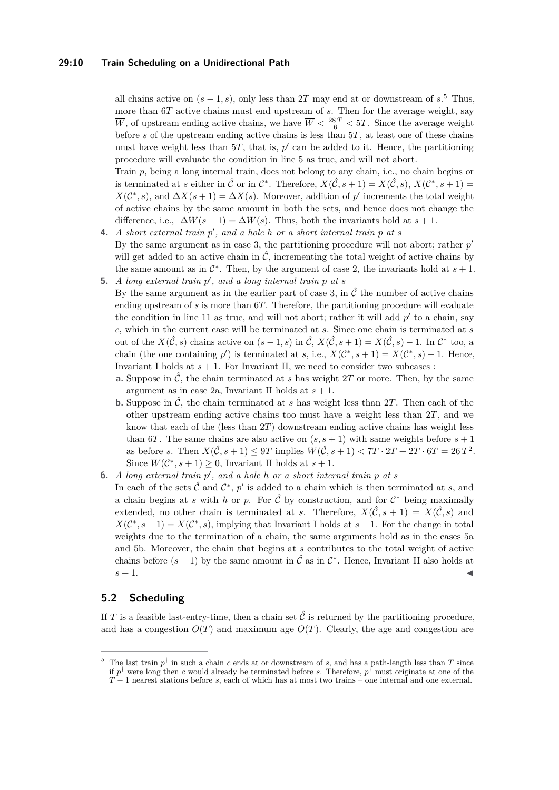#### **29:10 Train Scheduling on a Unidirectional Path**

all chains active on  $(s-1, s)$ , only less than 2T may end at or downstream of  $s$ <sup>[5](#page-9-1)</sup>. Thus, more than 6*T* active chains must end upstream of *s*. Then for the average weight, say  $\overline{W}$ , of upstream ending active chains, we have  $\overline{W} < \frac{28T}{6} < 5T$ . Since the average weight before *s* of the upstream ending active chains is less than 5*T*, at least one of these chains must have weight less than  $5T$ , that is,  $p'$  can be added to it. Hence, the partitioning procedure will evaluate the condition in line [5](#page-7-6) as true, and will not abort.

Train *p*, being a long internal train, does not belong to any chain, i.e., no chain begins or is terminated at *s* either in  $\hat{\mathcal{C}}$  or in  $\mathcal{C}^*$ . Therefore,  $X(\hat{\mathcal{C}}, s + 1) = X(\hat{\mathcal{C}}, s)$ ,  $X(\mathcal{C}^*, s + 1) =$  $X(\mathcal{C}^*, s)$ , and  $\Delta X(s+1) = \Delta X(s)$ . Moreover, addition of *p*' increments the total weight of active chains by the same amount in both the sets, and hence does not change the difference, i.e.,  $\Delta W(s+1) = \Delta W(s)$ . Thus, both the invariants hold at  $s+1$ .

- **4.** *A short external train*  $p'$ , and a hole  $h$  or a short internal train  $p$  at  $s$ By the same argument as in case [3,](#page-8-0) the partitioning procedure will not abort; rather  $p'$ will get added to an active chain in  $\hat{\mathcal{C}}$ , incrementing the total weight of active chains by the same amount as in  $\mathcal{C}^*$ . Then, by the argument of case [2,](#page-8-1) the invariants hold at  $s + 1$ . **5.** *A long external train*  $p'$ , and a long internal train  $p$  at  $s$ 
	- By the same argument as in the earlier part of case [3,](#page-8-0) in  $\hat{\mathcal{C}}$  the number of active chains ending upstream of *s* is more than 6*T*. Therefore, the partitioning procedure will evaluate the condition in line [11](#page-7-7) as true, and will not abort; rather it will add  $p'$  to a chain, say *c*, which in the current case will be terminated at *s*. Since one chain is terminated at *s* out of the  $X(\hat{C}, s)$  chains active on  $(s-1, s)$  in  $\hat{C}$ ,  $X(\hat{C}, s+1) = X(\hat{C}, s) - 1$ . In  $\mathcal{C}^*$  too, a chain (the one containing *p*<sup> $\prime$ </sup>) is terminated at *s*, i.e.,  $X(\mathcal{C}^*, s+1) = X(\mathcal{C}^*, s) - 1$ . Hence, Invariant I holds at  $s + 1$ . For Invariant II, we need to consider two subcases :
		- **a.** Suppose in  $\hat{\mathcal{C}}$ , the chain terminated at *s* has weight 2*T* or more. Then, by the same argument as in case [2a,](#page-8-2) Invariant II holds at  $s + 1$ .
		- **b.** Suppose in  $\hat{\mathcal{C}}$ , the chain terminated at *s* has weight less than 2*T*. Then each of the other upstream ending active chains too must have a weight less than 2*T*, and we know that each of the (less than 2*T*) downstream ending active chains has weight less than 6*T*. The same chains are also active on  $(s, s + 1)$  with same weights before  $s + 1$ as before *s*. Then  $X(\hat{C}, s + 1) \le 9T$  implies  $W(\hat{C}, s + 1) < 7T \cdot 2T + 2T \cdot 6T = 26T^2$ . Since  $W(\mathcal{C}^*, s+1) \geq 0$ , Invariant II holds at  $s+1$ .
- <span id="page-9-3"></span><span id="page-9-2"></span>**6.** *A long external train*  $p'$ , and a hole  $h$  or a short internal train  $p$  at  $s$ In each of the sets  $\hat{\mathcal{C}}$  and  $\mathcal{C}^*$ ,  $p'$  is added to a chain which is then terminated at *s*, and a chain begins at *s* with *h* or *p*. For  $\hat{C}$  by construction, and for  $C^*$  being maximally extended, no other chain is terminated at *s*. Therefore,  $X(\hat{C}, s + 1) = X(\hat{C}, s)$  and  $X(\mathcal{C}^*, s+1) = X(\mathcal{C}^*, s)$ , implying that Invariant I holds at  $s+1$ . For the change in total weights due to the termination of a chain, the same arguments hold as in the cases [5a](#page-9-2) and [5b.](#page-9-3) Moreover, the chain that begins at *s* contributes to the total weight of active chains before  $(s + 1)$  by the same amount in  $\hat{\mathcal{C}}$  as in  $\mathcal{C}^*$ . Hence, Invariant II also holds at  $s+1$ .

### <span id="page-9-0"></span>**5.2 Scheduling**

If *T* is a feasible last-entry-time, then a chain set  $\hat{\mathcal{C}}$  is returned by the partitioning procedure, and has a congestion  $O(T)$  and maximum age  $O(T)$ . Clearly, the age and congestion are

<span id="page-9-1"></span><sup>&</sup>lt;sup>5</sup> The last train  $p^{\dagger}$  in such a chain *c* ends at or downstream of *s*, and has a path-length less than *T* since if *p* † were long then *c* would already be terminated before *s*. Therefore, *p* † must originate at one of the *T* − 1 nearest stations before *s*, each of which has at most two trains – one internal and one external.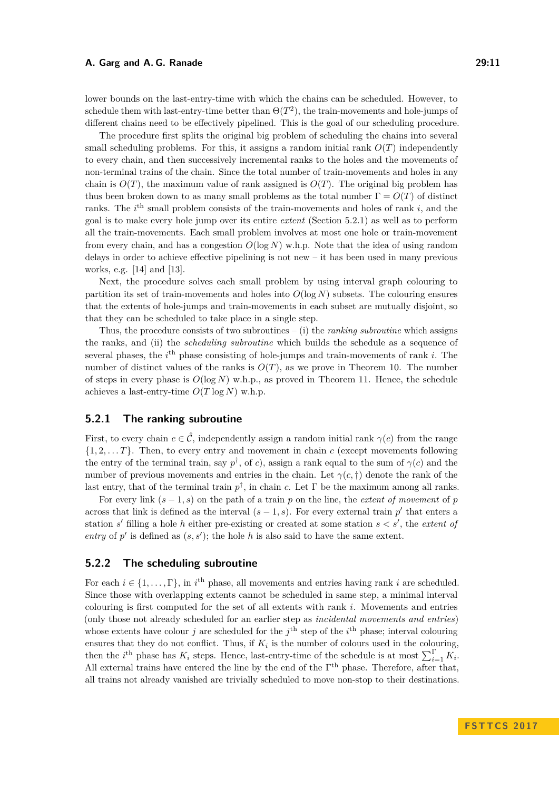lower bounds on the last-entry-time with which the chains can be scheduled. However, to schedule them with last-entry-time better than  $\Theta(T^2)$ , the train-movements and hole-jumps of different chains need to be effectively pipelined. This is the goal of our scheduling procedure.

The procedure first splits the original big problem of scheduling the chains into several small scheduling problems. For this, it assigns a random initial rank  $O(T)$  independently to every chain, and then successively incremental ranks to the holes and the movements of non-terminal trains of the chain. Since the total number of train-movements and holes in any chain is  $O(T)$ , the maximum value of rank assigned is  $O(T)$ . The original big problem has thus been broken down to as many small problems as the total number  $\Gamma = O(T)$  of distinct ranks. The *i*<sup>th</sup> small problem consists of the train-movements and holes of rank *i*, and the goal is to make every hole jump over its entire *extent* (Section [5.2.1\)](#page-10-0) as well as to perform all the train-movements. Each small problem involves at most one hole or train-movement from every chain, and has a congestion  $O(\log N)$  w.h.p. Note that the idea of using random delays in order to achieve effective pipelining is not new – it has been used in many previous works, e.g. [\[14\]](#page-12-3) and [\[13\]](#page-12-13).

Next, the procedure solves each small problem by using interval graph colouring to partition its set of train-movements and holes into  $O(\log N)$  subsets. The colouring ensures that the extents of hole-jumps and train-movements in each subset are mutually disjoint, so that they can be scheduled to take place in a single step.

Thus, the procedure consists of two subroutines – (i) the *ranking subroutine* which assigns the ranks, and (ii) the *scheduling subroutine* which builds the schedule as a sequence of several phases, the *i*<sup>th</sup> phase consisting of hole-jumps and train-movements of rank *i*. The number of distinct values of the ranks is  $O(T)$ , as we prove in Theorem [10.](#page-11-1) The number of steps in every phase is  $O(\log N)$  w.h.p., as proved in Theorem [11.](#page-11-2) Hence, the schedule achieves a last-entry-time  $O(T \log N)$  w.h.p.

### <span id="page-10-0"></span>**5.2.1 The ranking subroutine**

First, to every chain  $c \in \hat{\mathcal{C}}$ , independently assign a random initial rank  $\gamma(c)$  from the range  $\{1, 2, \ldots T\}$ . Then, to every entry and movement in chain *c* (except movements following the entry of the terminal train, say  $p^{\dagger}$ , of *c*), assign a rank equal to the sum of  $\gamma(c)$  and the number of previous movements and entries in the chain. Let  $\gamma(c, \dagger)$  denote the rank of the last entry, that of the terminal train  $p^{\dagger}$ , in chain *c*. Let  $\Gamma$  be the maximum among all ranks.

For every link  $(s - 1, s)$  on the path of a train p on the line, the *extent* of movement of p across that link is defined as the interval  $(s-1, s)$ . For every external train  $p'$  that enters a station  $s'$  filling a hole  $h$  either pre-existing or created at some station  $s < s'$ , the *extent of* entry of  $p'$  is defined as  $(s, s')$ ; the hole h is also said to have the same extent.

#### **5.2.2 The scheduling subroutine**

For each  $i \in \{1, \ldots, \Gamma\}$ , in  $i^{\text{th}}$  phase, all movements and entries having rank *i* are scheduled. Since those with overlapping extents cannot be scheduled in same step, a minimal interval colouring is first computed for the set of all extents with rank *i*. Movements and entries (only those not already scheduled for an earlier step as *incidental movements and entries*) whose extents have colour *j* are scheduled for the  $j^{\text{th}}$  step of the  $i^{\text{th}}$  phase; interval colouring ensures that they do not conflict. Thus, if  $K_i$  is the number of colours used in the colouring, then the *i*<sup>th</sup> phase has  $K_i$  steps. Hence, last-entry-time of the schedule is at most  $\sum_{i=1}^{\Gamma} K_i$ . All external trains have entered the line by the end of the  $\Gamma^{th}$  phase. Therefore, after that, all trains not already vanished are trivially scheduled to move non-stop to their destinations.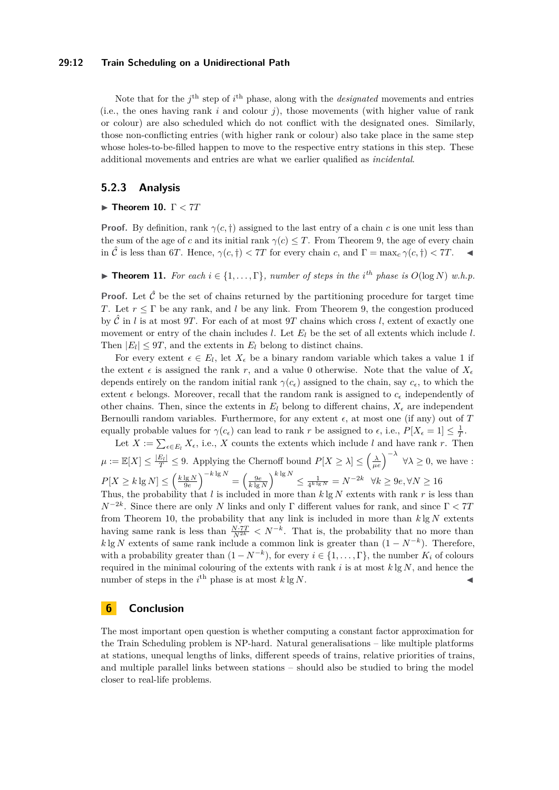#### **29:12 Train Scheduling on a Unidirectional Path**

Note that for the  $j^{\text{th}}$  step of  $i^{\text{th}}$  phase, along with the *designated* movements and entries (i.e., the ones having rank  $i$  and colour  $j$ ), those movements (with higher value of rank or colour) are also scheduled which do not conflict with the designated ones. Similarly, those non-conflicting entries (with higher rank or colour) also take place in the same step whose holes-to-be-filled happen to move to the respective entry stations in this step. These additional movements and entries are what we earlier qualified as *incidental*.

#### **5.2.3 Analysis**

#### <span id="page-11-1"></span>I **Theorem 10.** Γ *<* 7*T*

**Proof.** By definition, rank  $\gamma(c, \dagger)$  assigned to the last entry of a chain *c* is one unit less than the sum of the age of *c* and its initial rank  $\gamma(c) \leq T$ . From Theorem [9,](#page-7-8) the age of every chain in  $\hat{\mathcal{C}}$  is less than 6*T*. Hence,  $\gamma(c, \dagger) < 7T$  for every chain *c*, and  $\Gamma = \max_c \gamma(c, \dagger) < 7T$ .

<span id="page-11-2"></span>▶ **Theorem 11.** *For each*  $i \in \{1, \ldots, \Gamma\}$ *, number of steps in the i<sup>th</sup> phase is*  $O(\log N)$  *w.h.p.* 

**Proof.** Let  $\hat{\mathcal{C}}$  be the set of chains returned by the partitioning procedure for target time *T*. Let *r* ≤ Γ be any rank, and *l* be any link. From Theorem [9,](#page-7-8) the congestion produced by  $\hat{\mathcal{C}}$  in *l* is at most 9*T*. For each of at most 9*T* chains which cross *l*, extent of exactly one movement or entry of the chain includes  $l$ . Let  $E_l$  be the set of all extents which include  $l$ . Then  $|E_l| \leq 9T$ , and the extents in  $E_l$  belong to distinct chains.

For every extent  $\epsilon \in E_l$ , let  $X_{\epsilon}$  be a binary random variable which takes a value 1 if the extent  $\epsilon$  is assigned the rank r, and a value 0 otherwise. Note that the value of  $X_{\epsilon}$ depends entirely on the random initial rank  $\gamma(c_{\epsilon})$  assigned to the chain, say  $c_{\epsilon}$ , to which the extent  $\epsilon$  belongs. Moreover, recall that the random rank is assigned to  $c_{\epsilon}$  independently of other chains. Then, since the extents in  $E_l$  belong to different chains,  $X_{\epsilon}$  are independent Bernoulli random variables. Furthermore, for any extent  $\epsilon$ , at most one (if any) out of  $T$ equally probable values for  $\gamma(c_{\epsilon})$  can lead to rank *r* be assigned to  $\epsilon$ , i.e.,  $P[X_{\epsilon} = 1] \leq \frac{1}{T}$ .

Let  $X := \sum_{\epsilon \in E_l} X_{\epsilon}$ , i.e., X counts the extents which include *l* and have rank *r*. Then  $\mu := \mathbb{E}[X] \le \frac{|E_l|}{T} \le 9$ . Applying the Chernoff bound  $P[X \ge \lambda] \le \left(\frac{\lambda}{\mu e}\right)^{-\lambda}$   $\forall \lambda \ge 0$ , we have :  $P[X \ge k \lg N] \le \left(\tfrac{k \lg N}{9e}\right)^{-k \lg N} = \left(\tfrac{9e}{k \lg N}\right)^{k \lg N} \le \tfrac 1{4^{k \lg N}} = N^{-2k} \quad \forall k \ge 9e, \forall N \ge 16$ Thus, the probability that *l* is included in more than  $k \lg N$  extents with rank r is less than

*N*<sup>-2*k*</sup>. Since there are only *N* links and only Γ different values for rank, and since Γ < 7*T* from Theorem [10,](#page-11-1) the probability that any link is included in more than *k* lg *N* extents having same rank is less than  $\frac{N \cdot 7T}{N^{2k}} < N^{-k}$ . That is, the probability that no more than *k* lg *N* extents of same rank include a common link is greater than  $(1 - N^{-k})$ . Therefore, with a probability greater than  $(1 - N^{-k})$ , for every  $i \in \{1, \ldots, \Gamma\}$ , the number  $K_i$  of colours required in the minimal colouring of the extents with rank *i* is at most *k* lg *N*, and hence the number of steps in the  $i^{\text{th}}$  phase is at most  $k \lg N$ .

### <span id="page-11-0"></span>**6 Conclusion**

The most important open question is whether computing a constant factor approximation for the Train Scheduling problem is NP-hard. Natural generalisations – like multiple platforms at stations, unequal lengths of links, different speeds of trains, relative priorities of trains, and multiple parallel links between stations – should also be studied to bring the model closer to real-life problems.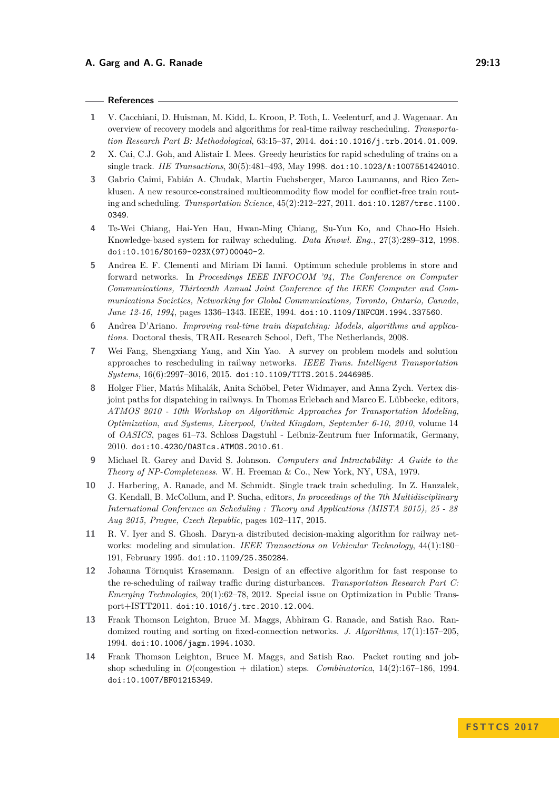#### **References**

- <span id="page-12-0"></span>**1** V. Cacchiani, D. Huisman, M. Kidd, L. Kroon, P. Toth, L. Veelenturf, and J. Wagenaar. An overview of recovery models and algorithms for real-time railway rescheduling. *Transportation Research Part B: Methodological*, 63:15–37, 2014. [doi:10.1016/j.trb.2014.01.009](http://dx.doi.org/10.1016/j.trb.2014.01.009).
- <span id="page-12-5"></span>**2** X. Cai, C.J. Goh, and Alistair I. Mees. Greedy heuristics for rapid scheduling of trains on a single track. *IIE Transactions*, 30(5):481–493, May 1998. [doi:10.1023/A:1007551424010](http://dx.doi.org/10.1023/A:1007551424010).
- <span id="page-12-6"></span>**3** Gabrio Caimi, Fabián A. Chudak, Martin Fuchsberger, Marco Laumanns, and Rico Zenklusen. A new resource-constrained multicommodity flow model for conflict-free train routing and scheduling. *Transportation Science*, 45(2):212–227, 2011. [doi:10.1287/trsc.1100.](http://dx.doi.org/10.1287/trsc.1100.0349) [0349](http://dx.doi.org/10.1287/trsc.1100.0349).
- <span id="page-12-7"></span>**4** Te-Wei Chiang, Hai-Yen Hau, Hwan-Ming Chiang, Su-Yun Ko, and Chao-Ho Hsieh. Knowledge-based system for railway scheduling. *Data Knowl. Eng.*, 27(3):289–312, 1998. [doi:10.1016/S0169-023X\(97\)00040-2](http://dx.doi.org/10.1016/S0169-023X(97)00040-2).
- <span id="page-12-2"></span>**5** Andrea E. F. Clementi and Miriam Di Ianni. Optimum schedule problems in store and forward networks. In *Proceedings IEEE INFOCOM '94, The Conference on Computer Communications, Thirteenth Annual Joint Conference of the IEEE Computer and Communications Societies, Networking for Global Communications, Toronto, Ontario, Canada, June 12-16, 1994*, pages 1336–1343. IEEE, 1994. [doi:10.1109/INFCOM.1994.337560](http://dx.doi.org/10.1109/INFCOM.1994.337560).
- <span id="page-12-8"></span>**6** Andrea D'Ariano. *Improving real-time train dispatching: Models, algorithms and applications*. Doctoral thesis, TRAIL Research School, Deft, The Netherlands, 2008.
- <span id="page-12-1"></span>**7** Wei Fang, Shengxiang Yang, and Xin Yao. A survey on problem models and solution approaches to rescheduling in railway networks. *IEEE Trans. Intelligent Transportation Systems*, 16(6):2997–3016, 2015. [doi:10.1109/TITS.2015.2446985](http://dx.doi.org/10.1109/TITS.2015.2446985).
- <span id="page-12-9"></span>**8** Holger Flier, Matús Mihalák, Anita Schöbel, Peter Widmayer, and Anna Zych. Vertex disjoint paths for dispatching in railways. In Thomas Erlebach and Marco E. Lübbecke, editors, *ATMOS 2010 - 10th Workshop on Algorithmic Approaches for Transportation Modeling, Optimization, and Systems, Liverpool, United Kingdom, September 6-10, 2010*, volume 14 of *OASICS*, pages 61–73. Schloss Dagstuhl - Leibniz-Zentrum fuer Informatik, Germany, 2010. [doi:10.4230/OASIcs.ATMOS.2010.61](http://dx.doi.org/10.4230/OASIcs.ATMOS.2010.61).
- <span id="page-12-12"></span>**9** Michael R. Garey and David S. Johnson. *Computers and Intractability: A Guide to the Theory of NP-Completeness*. W. H. Freeman & Co., New York, NY, USA, 1979.
- <span id="page-12-4"></span>**10** J. Harbering, A. Ranade, and M. Schmidt. Single track train scheduling. In Z. Hanzalek, G. Kendall, B. McCollum, and P. Sucha, editors, *In proceedings of the 7th Multidisciplinary International Conference on Scheduling : Theory and Applications (MISTA 2015), 25 - 28 Aug 2015, Prague, Czech Republic*, pages 102–117, 2015.
- <span id="page-12-10"></span>**11** R. V. Iyer and S. Ghosh. Daryn-a distributed decision-making algorithm for railway networks: modeling and simulation. *IEEE Transactions on Vehicular Technology*, 44(1):180– 191, February 1995. [doi:10.1109/25.350284](http://dx.doi.org/10.1109/25.350284).
- <span id="page-12-11"></span>**12** Johanna Törnquist Krasemann. Design of an effective algorithm for fast response to the re-scheduling of railway traffic during disturbances. *Transportation Research Part C: Emerging Technologies*, 20(1):62–78, 2012. Special issue on Optimization in Public Transport+ISTT2011. [doi:10.1016/j.trc.2010.12.004](http://dx.doi.org/10.1016/j.trc.2010.12.004).
- <span id="page-12-13"></span>**13** Frank Thomson Leighton, Bruce M. Maggs, Abhiram G. Ranade, and Satish Rao. Randomized routing and sorting on fixed-connection networks. *J. Algorithms*, 17(1):157–205, 1994. [doi:10.1006/jagm.1994.1030](http://dx.doi.org/10.1006/jagm.1994.1030).
- <span id="page-12-3"></span>**14** Frank Thomson Leighton, Bruce M. Maggs, and Satish Rao. Packet routing and jobshop scheduling in  $O(\text{congestion} + \text{dilation})$  steps. *Combinatorica*,  $14(2):167-186$ , 1994. [doi:10.1007/BF01215349](http://dx.doi.org/10.1007/BF01215349).